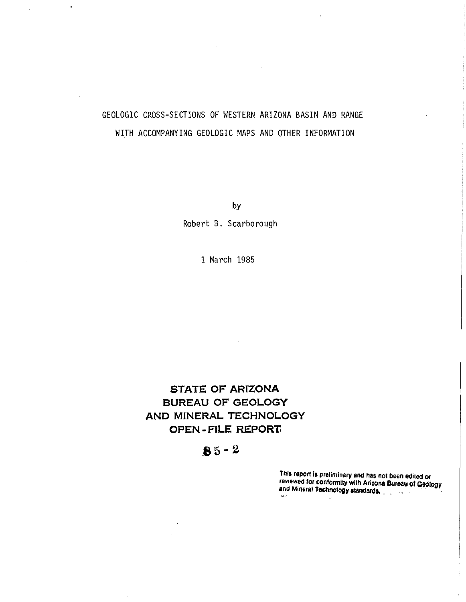# GEOLOGIC CROSS-SECTIONS OF WESTERN ARIZONA BASIN AND RANGE WITH ACCOMPANYING GEOLOGIC MAPS AND OTHER INFORMATION

 $\ddot{\phantom{a}}$ 

by

Robert B. Scarborough

1 March 1985

#### STATE OF ARIZONA BUREAU OF GEOLOGY AND MINERAL TECHNOLOGY OPEN - FILE REPORT,

# $85 - 2$

This report Is preliminary and has not been edited Of reviewed for conformity with Arizona Bureau of Geology and Mineral Tec;hnOlogy alandalO.. . . ~ .. , ," .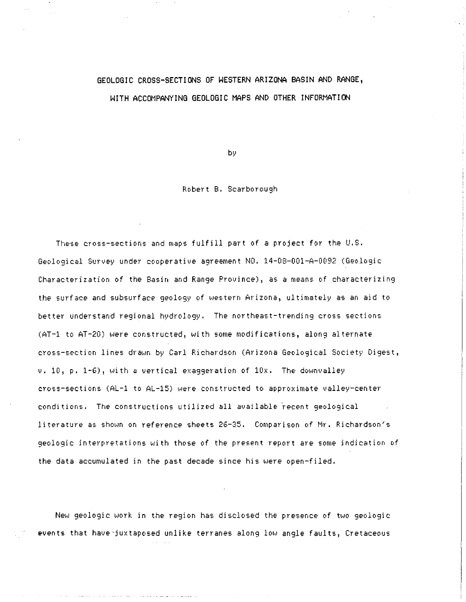### GEOLOGIC CROSS-SECTIONS OF WESTERN ARIZONA BASIN AND RANGE, WITH ACCOMPANYING GEOLOGIC MAPS AND OTHER INFORMATION

by

#### Robert B. Scarborough

These cross-sections and maps fulfill part of a project for the U.S. Geological Survey under cooperatiue agreement NO. 14-08-001-A-0092 (Geologic Characterization of the Basin and Range Province), as a means of characterizing the surface and subsurface geology of western Arizona, ultimately as an aid to better understand regional hydrology. The northeast-trending cross sections (AT-1 to AT-20) were constructed, with some modifications, along alternate cross-section lines drawn by Carl Richardson (Arizona Geological Society Digest,  $v. 10$ ,  $p. 1-6$ ), with a vertical exaggeration of  $10x.$  The downvalley **cross-sections (AL-l to AL-15) were constructed to approximate valley-center**  conditions. The constructions utilized all available recent geological literature as shown on reference sheets 26-35. Comparison of Mr. Richardson's **geologic interpretations with those of the present report** *are* **some indication of**  the data accumulated in the past decade since his were open-filed.

New geologic work in the region has disclosed the presence of two geologic events that have-juxtaposed unlike terranes along low angle faults, Cretaceous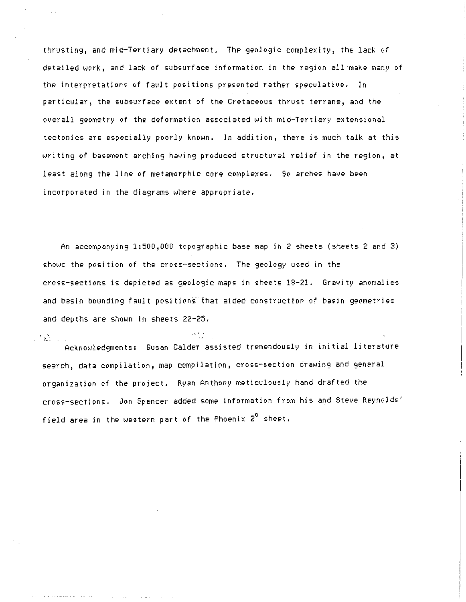thrusting, and mid-Tertiary detachment. The geologic complexity, the lack of detailed work, and lack of subsurface information in the region all-make many of the interpretations of fault positions presented rather speculative. In particular, *the* subsurface extent of the Cretaceous thrust terrane, and the overall geometry of the deformation associated with mid-Tertiary extensional tectonics are especially poorly known. In addition, there is much talk at this writing of basement arching having produced structural relief in the region, at least along the line of metamorphic core complexes. So arches have been incorporated in the diagrams where appropriate.

An accompanying 1:500,000 topographic base map in 2 sheets (sheets 2 and 3) shows the position of the cross-sections. The geology used In the cross-sections is depicted as geologic maps in sheets 18-21. Gravity anomalies and basin bounding fault positions that aided construction of basin geometries and depths are shown in sheets 22-25.

 $\sim 3.1$   $\mu$ Acknowledgments: Susan Calder assisted tremendously in initial literature search, data compilation, map compilation, cross-section drawing and general organization of the project. Ryan Anthony meticulously hand drafted the cross-sections. Jon Spencer added some information from his and Steve Reynolds' field area in the western part of the Phoenix  $2^0$  sheet.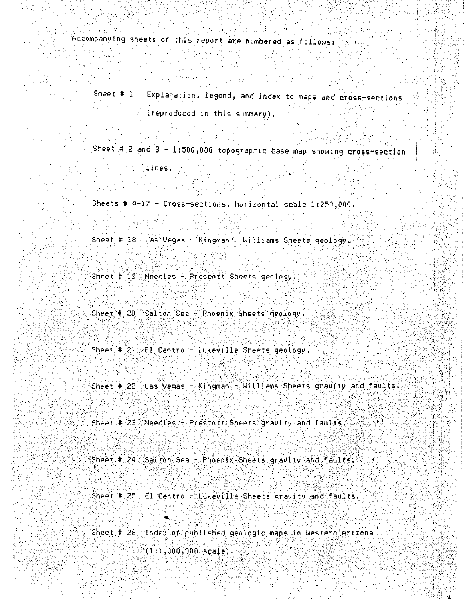Accompanying sheets of this report are numbered as follows:

Sheet # 1 Explanation, legend, and index to maps and cross-sections (reproduced in this summary).

Sheet  $# 2$  and  $3 - 1:500,000$  topographic base map showing cross-section lines.

Sheets  $\#$  4-17 - Cross-sections, horizontal scale 1:250,000.

Sheet # 18 Las Vegas - Kingman - Williams Sheets geology.

Sheet  $# 19$  Needles - Prescott Sheets geology.

Sheet #  $20$  Salton Sea - Phoenix Sheets geology.

Sheet # 21 El Centro - Lukeville Sheets geology.

Sheet # 22 Las Vegas  $-Kingman - William$  Sheets gravity and faults.

Sheet  $\#$  23 Needles - Prescott Sheets gravity and faults.

Sheet  $\#$  24 Salton Sea - Phoenix Sheets gravity and faults,

Sheet  $\frac{*}{25}$  El Centro - Lukeville Sheets gravity and faults.

 $\bullet$ 

. .

Sheet  $\frac{4}{3}$  26 Index of published geologic maps in western Arizona ander au Northear is troch mar de William dans d  $(1:1,000,000,$ scale).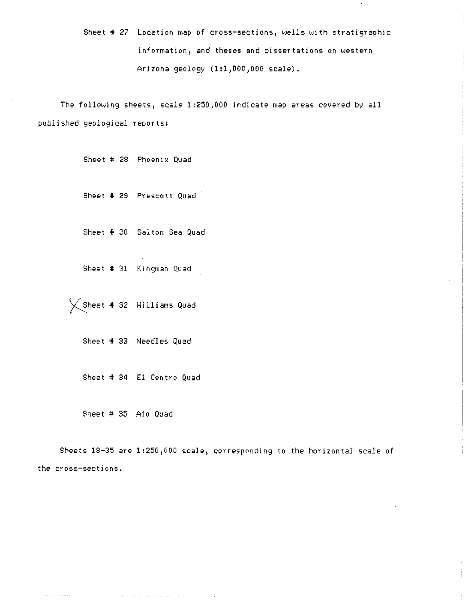Sheet # 27 Location map of cross-sections, wells with stratigraphic information, and theses and dissertations on western Arizona geology (1:1,000,000 scale).

The following sheets, scale 1:250,000 indicate map areas covered by all published geological reports:

Sheet # 28 Phoenix Quad

Sheet # 29 Prescott Quad

Sheet # 30 Salton Sea Quad

Sheet # 31 Kingman Quad

 $\big($  Sheet # 32  $\,$  Williams Quad

Sheet # 33 Needles Quad

Sheet # 34 El Centro Quad

and the company of the company of

Sheet # 35 Ajo Quad

المارا والمحاف المقفوعا والمالم والمحاف

Sheets 18-35 are 1:250,000 scale, corresponding to the horizontal scale of the cross-sections.

 $\sim$  100  $\sim$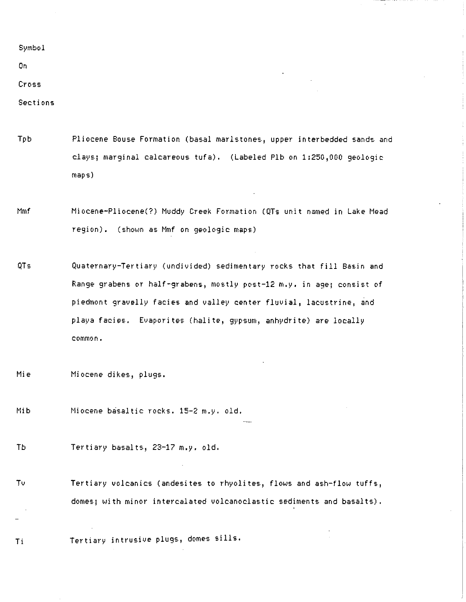Symbol

On

**Cross** 

Sections

- Tpb Pliocene Bouse Formation (basal marlstones, upper interbedded sands and clays; marginal calcareous tufa). (Labeled Plb on 1:250,000 geologic maps)
- Mmf Miocene-Pliocene(?) Muddy Creek Formation (QTs unit named in Lake Mead region). (shown as Mmf on geologic maps)
- QTs Quaternary-Tertiary (undivided) sedimentary rocks that fill Basin and Range grabens or half-grabens, mostly post-12 m.y. in age; consist of piedmont gravelly facies and valley center fluvial, lacustrine, and playa facies. Evaporites (halite, gypsum, anhydrite) are locally **common.**
- Mie Miocene dikes, plugs.
- Mib Miocene basaltic rocks. 15-2 m.y. old.
- Tb Tertiary basalts, 23-17 m.y. old.
- Tv Tertiary volcanics (andesites to rhyolites, flows and ash-flow tuffs, domes; with minor intercalated volcanoclastic sediments and basalts).

Ti Tertiary intrusive plugs, domes sills.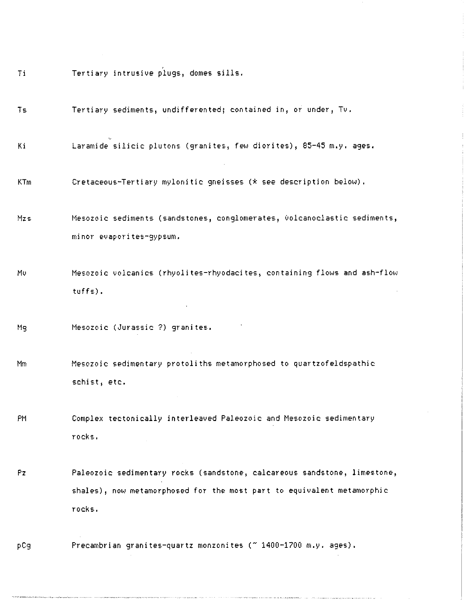Ti Tertiary intrusive plugs, domes sills.

Ts Tertiary sediments, undifferented; contained in, or under, *Tv.* 

Ki Laramide silicic plutons (granites, few diorites), 85-45 m.y. ages.

KTm Cretaceous-Tertiary mylonitic gneisses ( $*$  see description below).

Mzs **Mesozoic sediments (sandstones, conglomerates, 001canoclastic sediments,**  minor evaporites-gypsum.

Mv Mesozoic volcanics (rhyolites-rhyodacites, containing flows and ash-flow tuffs) •

t1g Mesozoic (Jurassic ?) granites.

Mm Mesozoic sedimentary protoliths metamorphosed to quartzofeldspathic schist, etc.

PM Complex tectonically interleaved Paleozoic and Mesozoic sedimentary **rocks.** 

pz Paleozoic sedimentary rocks (sandstone, calcareous sandstone, limestone, shales), now metamorphosed for the most part to equivalent metamorphic rocks.

pCg Precambrian granites-quartz monzonites (~ 1400-1700 m.y. ages).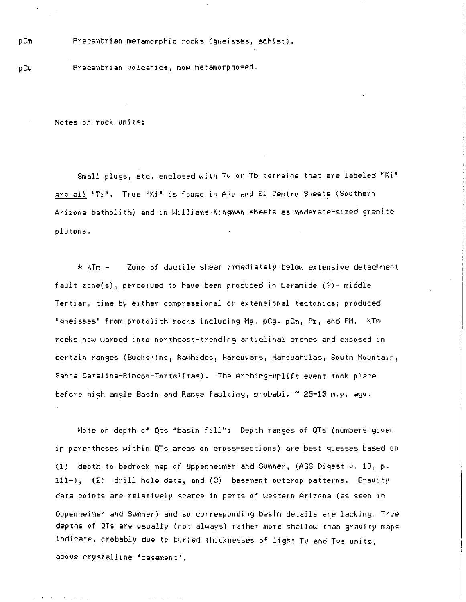Precambrian metamorphic rocks (gneisses, schist).

pCv Precambrian volcanics, now metamorphosed.

Notes on rock units:

Small plugs, etc. enclosed with Tv or Tb terrains that are labeled "Ki" are all 'Ti'. True 'Ki' is found in Ajo and El Centro Sheets (Southern Arizona batholith) and in Williams-Kin9man sheets as moderate-sized 9ranite plutons.

 $*$  KTm -  $\blacksquare$  Zone of ductile shear immediately below extensive detachment fault zone(s), perceived to have been produced in Laramide (7)- middle Tertiary time by either compressional or extensional tectonics; produced "9neisseE.' from protolith rocks includin9 M9, pCg, pCm, Pz, and PM. KTm rocks now warped into northeast-trending anticlinal arches and exposed in certain ranges (Buckskins, Rawhides, Harcuvars, Harquahulas, South Mountain, Santa Catalina-Rincon-Tortolitas). The Arching-uplift event took place before hi9h angle Basin and Range faultin9, probably *N* 25-13 m.y. ago.

Note on depth of Qts 'basin fill": Depth ranges of QTs (numbers given in parentheses within QTs areas on cross-sections) are best guesses based on (1) depth to bedrock map of Oppenheimer and Sumner, (AGS Digest v. 13, p. 111-), (2) drill hole data, and (3) basement outcrop patterns. Gravity data points are relatively scarce in parts of western Arizona (as seen in Oppenheimer and Sumner) and so corresponding basin details are lacking. True depths of QTs are usually (not always) rather more shallow than gravity maps indicate, probably due to buried thicknesses of li9ht Tv and Tvs units, above crystalline 'basement'.

pCm